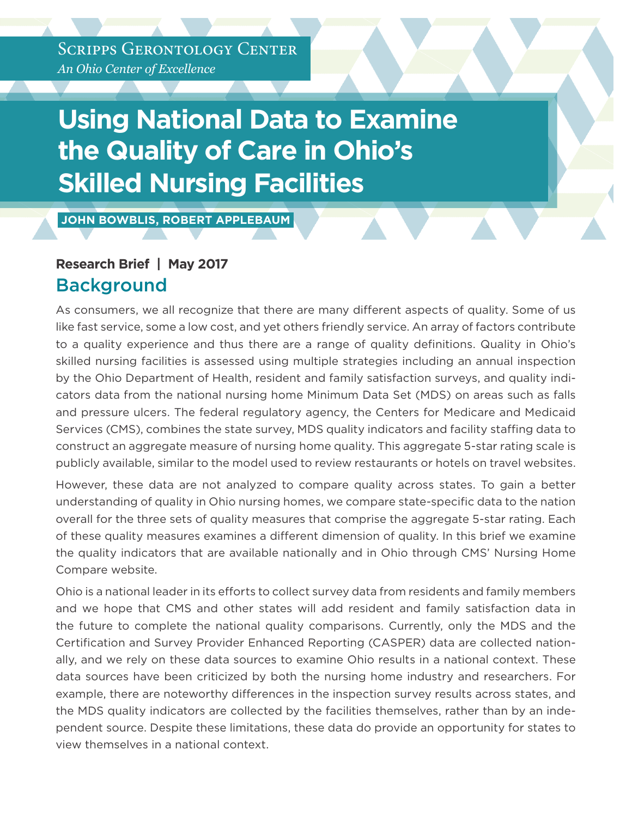*An Ohio Center of Excellence* SCRIPPS GERONTOLOGY CENTER

# **Using National Data to Examine the Quality of Care in Ohio's Skilled Nursing Facilities**

 **JOHN BOWBLIS, ROBERT APPLEBAUM** 

### **Research Brief | May 2017 Background**

As consumers, we all recognize that there are many different aspects of quality. Some of us like fast service, some a low cost, and yet others friendly service. An array of factors contribute to a quality experience and thus there are a range of quality definitions. Quality in Ohio's skilled nursing facilities is assessed using multiple strategies including an annual inspection by the Ohio Department of Health, resident and family satisfaction surveys, and quality indicators data from the national nursing home Minimum Data Set (MDS) on areas such as falls and pressure ulcers. The federal regulatory agency, the Centers for Medicare and Medicaid Services (CMS), combines the state survey, MDS quality indicators and facility staffing data to construct an aggregate measure of nursing home quality. This aggregate 5-star rating scale is publicly available, similar to the model used to review restaurants or hotels on travel websites.

However, these data are not analyzed to compare quality across states. To gain a better understanding of quality in Ohio nursing homes, we compare state-specific data to the nation overall for the three sets of quality measures that comprise the aggregate 5-star rating. Each of these quality measures examines a different dimension of quality. In this brief we examine the quality indicators that are available nationally and in Ohio through CMS' Nursing Home Compare website.

Ohio is a national leader in its efforts to collect survey data from residents and family members and we hope that CMS and other states will add resident and family satisfaction data in the future to complete the national quality comparisons. Currently, only the MDS and the Certification and Survey Provider Enhanced Reporting (CASPER) data are collected nationally, and we rely on these data sources to examine Ohio results in a national context. These data sources have been criticized by both the nursing home industry and researchers. For example, there are noteworthy differences in the inspection survey results across states, and the MDS quality indicators are collected by the facilities themselves, rather than by an independent source. Despite these limitations, these data do provide an opportunity for states to view themselves in a national context.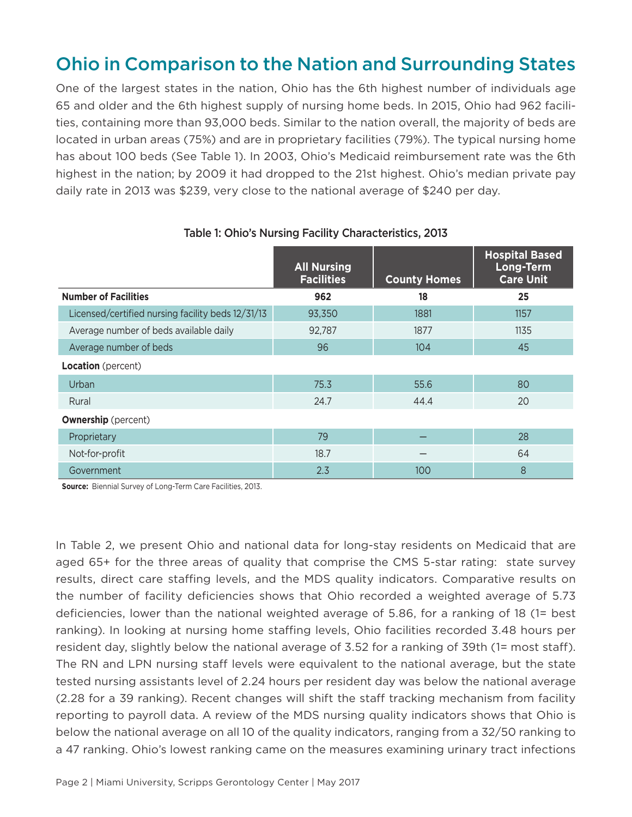# Ohio in Comparison to the Nation and Surrounding States

One of the largest states in the nation, Ohio has the 6th highest number of individuals age 65 and older and the 6th highest supply of nursing home beds. In 2015, Ohio had 962 facilities, containing more than 93,000 beds. Similar to the nation overall, the majority of beds are located in urban areas (75%) and are in proprietary facilities (79%). The typical nursing home has about 100 beds (See Table 1). In 2003, Ohio's Medicaid reimbursement rate was the 6th highest in the nation; by 2009 it had dropped to the 21st highest. Ohio's median private pay daily rate in 2013 was \$239, very close to the national average of \$240 per day.

|                                                   | <b>All Nursing</b><br><b>Facilities</b> | <b>County Homes</b> | <b>Hospital Based</b><br>Long-Term<br><b>Care Unit</b> |
|---------------------------------------------------|-----------------------------------------|---------------------|--------------------------------------------------------|
| <b>Number of Facilities</b>                       | 962                                     | 18                  | 25                                                     |
| Licensed/certified nursing facility beds 12/31/13 | 93,350                                  | 1881                | 1157                                                   |
| Average number of beds available daily            | 92,787                                  | 1877                | 1135                                                   |
| Average number of beds                            | 96                                      | 104                 | 45                                                     |
| Location (percent)                                |                                         |                     |                                                        |
| Urban                                             | 75.3                                    | 55.6                | 80                                                     |
| Rural                                             | 24.7                                    | 44.4                | 20                                                     |
| <b>Ownership</b> (percent)                        |                                         |                     |                                                        |
| Proprietary                                       | 79                                      |                     | 28                                                     |
| Not-for-profit                                    | 18.7                                    |                     | 64                                                     |
| Government                                        | 2.3                                     | 100                 | 8                                                      |

#### Table 1: Ohio's Nursing Facility Characteristics, 2013

**Source:** Biennial Survey of Long-Term Care Facilities, 2013.

In Table 2, we present Ohio and national data for long-stay residents on Medicaid that are aged 65+ for the three areas of quality that comprise the CMS 5-star rating: state survey results, direct care staffing levels, and the MDS quality indicators. Comparative results on the number of facility deficiencies shows that Ohio recorded a weighted average of 5.73 deficiencies, lower than the national weighted average of 5.86, for a ranking of 18 (1= best ranking). In looking at nursing home staffing levels, Ohio facilities recorded 3.48 hours per resident day, slightly below the national average of 3.52 for a ranking of 39th (1= most staff). The RN and LPN nursing staff levels were equivalent to the national average, but the state tested nursing assistants level of 2.24 hours per resident day was below the national average (2.28 for a 39 ranking). Recent changes will shift the staff tracking mechanism from facility reporting to payroll data. A review of the MDS nursing quality indicators shows that Ohio is below the national average on all 10 of the quality indicators, ranging from a 32/50 ranking to a 47 ranking. Ohio's lowest ranking came on the measures examining urinary tract infections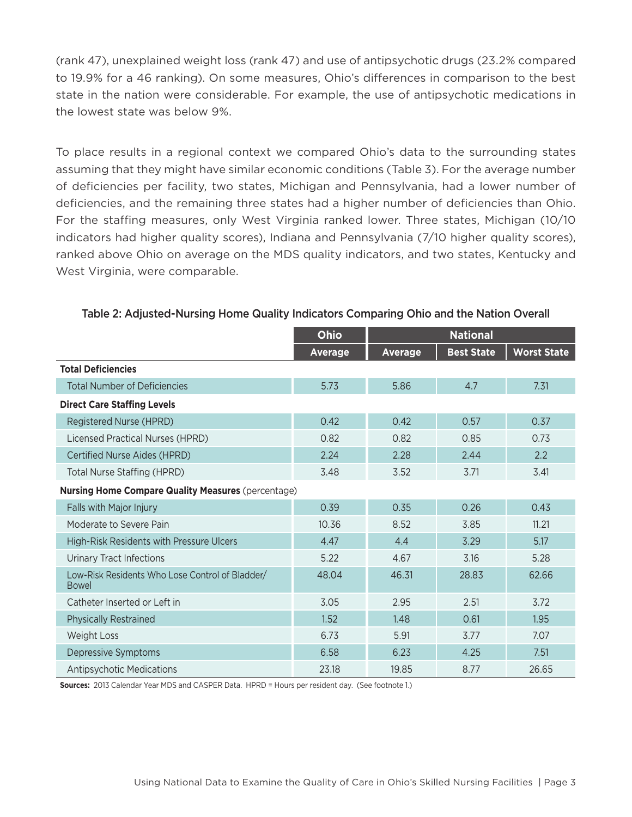(rank 47), unexplained weight loss (rank 47) and use of antipsychotic drugs (23.2% compared to 19.9% for a 46 ranking). On some measures, Ohio's differences in comparison to the best state in the nation were considerable. For example, the use of antipsychotic medications in the lowest state was below 9%.

To place results in a regional context we compared Ohio's data to the surrounding states assuming that they might have similar economic conditions (Table 3). For the average number of deficiencies per facility, two states, Michigan and Pennsylvania, had a lower number of deficiencies, and the remaining three states had a higher number of deficiencies than Ohio. For the staffing measures, only West Virginia ranked lower. Three states, Michigan (10/10 indicators had higher quality scores), Indiana and Pennsylvania (7/10 higher quality scores), ranked above Ohio on average on the MDS quality indicators, and two states, Kentucky and West Virginia, were comparable.

|                                                                 | <b>Ohio</b>    | <b>National</b> |                   |                    |  |  |
|-----------------------------------------------------------------|----------------|-----------------|-------------------|--------------------|--|--|
|                                                                 | <b>Average</b> | <b>Average</b>  | <b>Best State</b> | <b>Worst State</b> |  |  |
| <b>Total Deficiencies</b>                                       |                |                 |                   |                    |  |  |
| <b>Total Number of Deficiencies</b>                             | 5.73           | 5.86            | 4.7               | 7.31               |  |  |
| <b>Direct Care Staffing Levels</b>                              |                |                 |                   |                    |  |  |
| Registered Nurse (HPRD)                                         | 0.42           | 0.42            | 0.57              | 0.37               |  |  |
| Licensed Practical Nurses (HPRD)                                | 0.82           | 0.82            | 0.85              | 0.73               |  |  |
| Certified Nurse Aides (HPRD)                                    | 2.24           | 2.28            | 2.44              | 2.2                |  |  |
| Total Nurse Staffing (HPRD)                                     | 3.48           | 3.52            | 3.71              | 3.41               |  |  |
| <b>Nursing Home Compare Quality Measures (percentage)</b>       |                |                 |                   |                    |  |  |
| Falls with Major Injury                                         | 0.39           | 0.35            | 0.26              | 0.43               |  |  |
| Moderate to Severe Pain                                         | 10.36          | 8.52            | 3.85              | 11.21              |  |  |
| High-Risk Residents with Pressure Ulcers                        | 4.47           | 4.4             | 3.29              | 5.17               |  |  |
| <b>Urinary Tract Infections</b>                                 | 5.22           | 4.67            | 3.16              | 5.28               |  |  |
| Low-Risk Residents Who Lose Control of Bladder/<br><b>Bowel</b> | 48.04          | 46.31           | 28.83             | 62.66              |  |  |
| Catheter Inserted or Left in                                    | 3.05           | 2.95            | 2.51              | 3.72               |  |  |
| <b>Physically Restrained</b>                                    | 1.52           | 1.48            | 0.61              | 1.95               |  |  |
| <b>Weight Loss</b>                                              | 6.73           | 5.91            | 3.77              | 7.07               |  |  |
| Depressive Symptoms                                             | 6.58           | 6.23            | 4.25              | 7.51               |  |  |
| <b>Antipsychotic Medications</b>                                | 23.18          | 19.85           | 8.77              | 26.65              |  |  |

#### Table 2: Adjusted-Nursing Home Quality Indicators Comparing Ohio and the Nation Overall

**Sources:** 2013 Calendar Year MDS and CASPER Data. HPRD = Hours per resident day. (See footnote 1.)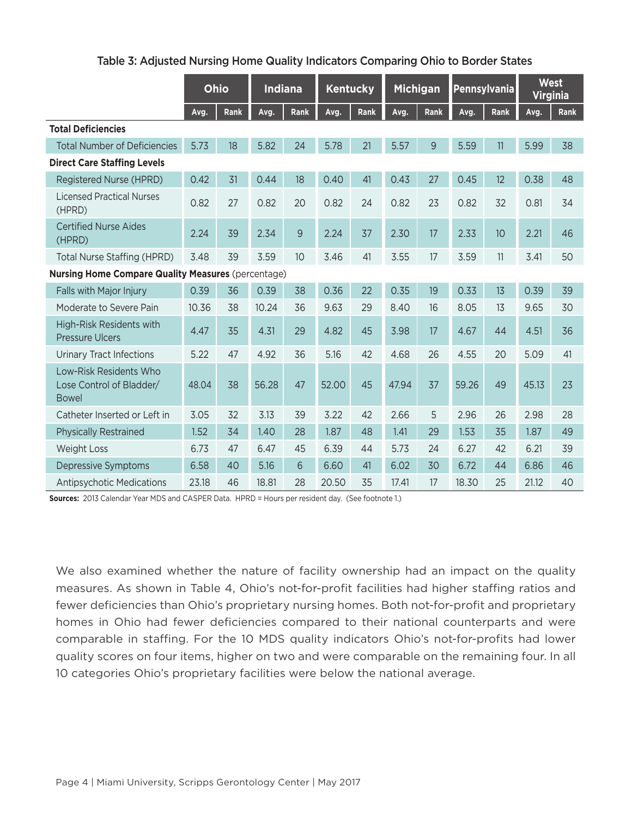|                                                                    | <b>Ohio</b> |      | <b>Indiana</b> |                 | Kentucky |      | <b>Michigan</b> |      |       | Pennsylvania |       | <b>West</b><br><b>Virginia</b> |  |
|--------------------------------------------------------------------|-------------|------|----------------|-----------------|----------|------|-----------------|------|-------|--------------|-------|--------------------------------|--|
|                                                                    | Avg.        | Rank | Avg.           | Rank            | Avg.     | Rank | Avg.            | Rank | Avg.  | Rank         | Avg.  | Rank                           |  |
| <b>Total Deficiencies</b>                                          |             |      |                |                 |          |      |                 |      |       |              |       |                                |  |
| <b>Total Number of Deficiencies</b>                                | 5.73        | 18   | 5.82           | 24              | 5.78     | 21   | 5.57            | 9    | 5.59  | 11           | 5.99  | 38                             |  |
| <b>Direct Care Staffing Levels</b>                                 |             |      |                |                 |          |      |                 |      |       |              |       |                                |  |
| Registered Nurse (HPRD)                                            | 0.42        | 31   | 0.44           | 18              | 0.40     | 41   | 0.43            | 27   | 0.45  | 12           | 0.38  | 48                             |  |
| <b>Licensed Practical Nurses</b><br>(HPRD)                         | 0.82        | 27   | 0.82           | 20              | 0.82     | 24   | 0.82            | 23   | 0.82  | 32           | 0.81  | 34                             |  |
| <b>Certified Nurse Aides</b><br>(HPRD)                             | 2.24        | 39   | 2.34           | $\overline{9}$  | 2.24     | 37   | 2.30            | 17   | 2.33  | 10           | 2.21  | 46                             |  |
| Total Nurse Staffing (HPRD)                                        | 3.48        | 39   | 3.59           | 10 <sup>°</sup> | 3.46     | 41   | 3.55            | 17   | 3.59  | 11           | 3.41  | 50                             |  |
| <b>Nursing Home Compare Quality Measures (percentage)</b>          |             |      |                |                 |          |      |                 |      |       |              |       |                                |  |
| Falls with Major Injury                                            | 0.39        | 36   | 0.39           | 38              | 0.36     | 22   | 0.35            | 19   | 0.33  | 13           | 0.39  | 39                             |  |
| Moderate to Severe Pain                                            | 10.36       | 38   | 10.24          | 36              | 9.63     | 29   | 8.40            | 16   | 8.05  | 13           | 9.65  | 30                             |  |
| High-Risk Residents with<br><b>Pressure Ulcers</b>                 | 4.47        | 35   | 4.31           | 29              | 4.82     | 45   | 3.98            | 17   | 4.67  | 44           | 4.51  | 36                             |  |
| <b>Urinary Tract Infections</b>                                    | 5.22        | 47   | 4.92           | 36              | 5.16     | 42   | 4.68            | 26   | 4.55  | 20           | 5.09  | 41                             |  |
| Low-Risk Residents Who<br>Lose Control of Bladder/<br><b>Bowel</b> | 48.04       | 38   | 56.28          | 47              | 52.00    | 45   | 47.94           | 37   | 59.26 | 49           | 45.13 | 23                             |  |
| Catheter Inserted or Left in                                       | 3.05        | 32   | 3.13           | 39              | 3.22     | 42   | 2.66            | 5    | 2.96  | 26           | 2.98  | 28                             |  |
| <b>Physically Restrained</b>                                       | 1.52        | 34   | 1.40           | 28              | 1.87     | 48   | 1.41            | 29   | 1.53  | 35           | 1.87  | 49                             |  |
| <b>Weight Loss</b>                                                 | 6.73        | 47   | 6.47           | 45              | 6.39     | 44   | 5.73            | 24   | 6.27  | 42           | 6.21  | 39                             |  |
| <b>Depressive Symptoms</b>                                         | 6.58        | 40   | 5.16           | 6               | 6.60     | 41   | 6.02            | 30   | 6.72  | 44           | 6.86  | 46                             |  |
| <b>Antipsychotic Medications</b>                                   | 23.18       | 46   | 18.81          | 28              | 20.50    | 35   | 17.41           | 17   | 18.30 | 25           | 21.12 | 40                             |  |

**Sources:** 2013 Calendar Year MDS and CASPER Data. HPRD = Hours per resident day. (See footnote 1.)

We also examined whether the nature of facility ownership had an impact on the quality measures. As shown in Table 4, Ohio's not-for-profit facilities had higher staffing ratios and fewer deficiencies than Ohio's proprietary nursing homes. Both not-for-profit and proprietary homes in Ohio had fewer deficiencies compared to their national counterparts and were comparable in staffing. For the 10 MDS quality indicators Ohio's not-for-profits had lower quality scores on four items, higher on two and were comparable on the remaining four. In all 10 categories Ohio's proprietary facilities were below the national average.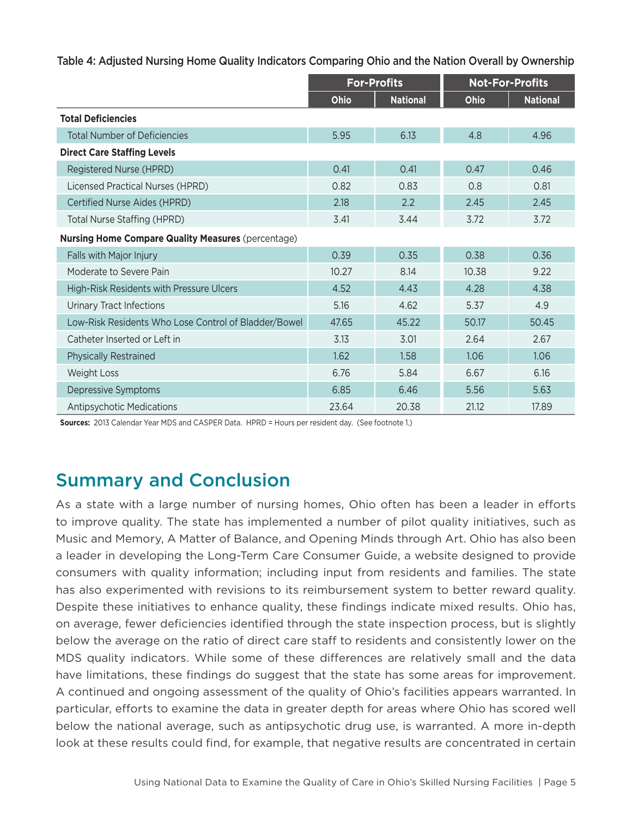Table 4: Adjusted Nursing Home Quality Indicators Comparing Ohio and the Nation Overall by Ownership

|                                                           | <b>For-Profits</b> |                 | <b>Not-For-Profits</b> |                 |  |
|-----------------------------------------------------------|--------------------|-----------------|------------------------|-----------------|--|
|                                                           | Ohio               | <b>National</b> | Ohio                   | <b>National</b> |  |
| <b>Total Deficiencies</b>                                 |                    |                 |                        |                 |  |
| <b>Total Number of Deficiencies</b>                       | 5.95               | 6.13            | 4.8                    | 4.96            |  |
| <b>Direct Care Staffing Levels</b>                        |                    |                 |                        |                 |  |
| Registered Nurse (HPRD)                                   | 0.41               | 0.41            | 0.47                   | 0.46            |  |
| Licensed Practical Nurses (HPRD)                          | 0.82               | 0.83            | 0.8                    | 0.81            |  |
| Certified Nurse Aides (HPRD)                              | 2.18               | 2.2             | 2.45                   | 2.45            |  |
| <b>Total Nurse Staffing (HPRD)</b>                        | 3.41               | 3.44            | 3.72                   | 3.72            |  |
| <b>Nursing Home Compare Quality Measures (percentage)</b> |                    |                 |                        |                 |  |
| Falls with Major Injury                                   | 0.39               | 0.35            | 0.38                   | 0.36            |  |
| Moderate to Severe Pain                                   | 10.27              | 8.14            | 10.38                  | 9.22            |  |
| High-Risk Residents with Pressure Ulcers                  | 4.52               | 4.43            | 4.28                   | 4.38            |  |
| <b>Urinary Tract Infections</b>                           | 5.16               | 4.62            | 5.37                   | 4.9             |  |
| Low-Risk Residents Who Lose Control of Bladder/Bowel      | 47.65              | 45.22           | 50.17                  | 50.45           |  |
| Catheter Inserted or Left in                              | 3.13               | 3.01            | 2.64                   | 2.67            |  |
| <b>Physically Restrained</b>                              | 1.62               | 1.58            | 1.06                   | 1.06            |  |
| <b>Weight Loss</b>                                        | 6.76               | 5.84            | 6.67                   | 6.16            |  |
| Depressive Symptoms                                       | 6.85               | 6.46            | 5.56                   | 5.63            |  |
| <b>Antipsychotic Medications</b>                          | 23.64              | 20.38           | 21.12                  | 17.89           |  |

**Sources:** 2013 Calendar Year MDS and CASPER Data. HPRD = Hours per resident day. (See footnote 1.)

# Summary and Conclusion

As a state with a large number of nursing homes, Ohio often has been a leader in efforts to improve quality. The state has implemented a number of pilot quality initiatives, such as Music and Memory, A Matter of Balance, and Opening Minds through Art. Ohio has also been a leader in developing the Long-Term Care Consumer Guide, a website designed to provide consumers with quality information; including input from residents and families. The state has also experimented with revisions to its reimbursement system to better reward quality. Despite these initiatives to enhance quality, these findings indicate mixed results. Ohio has, on average, fewer deficiencies identified through the state inspection process, but is slightly below the average on the ratio of direct care staff to residents and consistently lower on the MDS quality indicators. While some of these differences are relatively small and the data have limitations, these findings do suggest that the state has some areas for improvement. A continued and ongoing assessment of the quality of Ohio's facilities appears warranted. In particular, efforts to examine the data in greater depth for areas where Ohio has scored well below the national average, such as antipsychotic drug use, is warranted. A more in-depth look at these results could find, for example, that negative results are concentrated in certain